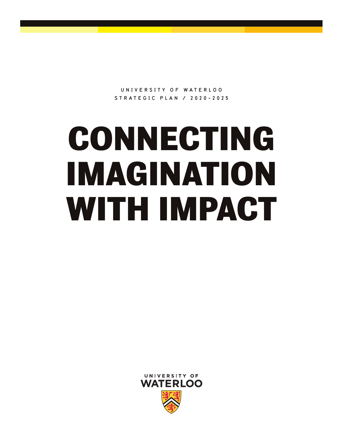**U N I V E R S I T Y O F W A T E R L O O STRATEGIC PLAN / 2020-2025**

# **CONNECTING IMAGINATION WITH IMPACT**

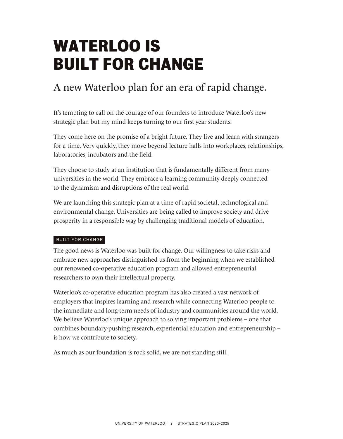## **WATERLOO IS BUILT FOR CHANGE**

### A new Waterloo plan for an era of rapid change.

It's tempting to call on the courage of our founders to introduce Waterloo's new strategic plan but my mind keeps turning to our first-year students.

They come here on the promise of a bright future. They live and learn with strangers for a time. Very quickly, they move beyond lecture halls into workplaces, relationships, laboratories, incubators and the field.

They choose to study at an institution that is fundamentally different from many universities in the world. They embrace a learning community deeply connected to the dynamism and disruptions of the real world.

We are launching this strategic plan at a time of rapid societal, technological and environmental change. Universities are being called to improve society and drive prosperity in a responsible way by challenging traditional models of education.

#### BUILT FOR CHANGE

The good news is Waterloo was built for change. Our willingness to take risks and embrace new approaches distinguished us from the beginning when we established our renowned co-operative education program and allowed entrepreneurial researchers to own their intellectual property.

Waterloo's co-operative education program has also created a vast network of employers that inspires learning and research while connecting Waterloo people to the immediate and long-term needs of industry and communities around the world. We believe Waterloo's unique approach to solving important problems – one that combines boundary-pushing research, experiential education and entrepreneurship – is how we contribute to society.

As much as our foundation is rock solid, we are not standing still.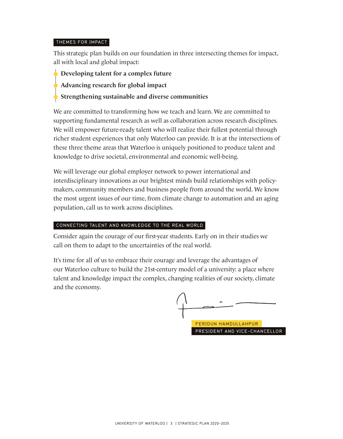#### THEMES FOR IMPACT

This strategic plan builds on our foundation in three intersecting themes for impact, all with local and global impact:

- $\overrightarrow{D}$  Developing talent for a complex future
- Advancing research for global impact
- Strengthening sustainable and diverse communities

We are committed to transforming how we teach and learn. We are committed to supporting fundamental research as well as collaboration across research disciplines. We will empower future-ready talent who will realize their fullest potential through richer student experiences that only Waterloo can provide. It is at the intersections of these three theme areas that Waterloo is uniquely positioned to produce talent and knowledge to drive societal, environmental and economic well-being.

We will leverage our global employer network to power international and interdisciplinary innovations as our brightest minds build relationships with policymakers, community members and business people from around the world. We know the most urgent issues of our time, from climate change to automation and an aging population, call us to work across disciplines.

#### CONNECTING TALENT AND KNOWLEDGE TO THE REAL WORLD

Consider again the courage of our first-year students. Early on in their studies we call on them to adapt to the uncertainties of the real world.

It's time for all of us to embrace their courage and leverage the advantages of our Waterloo culture to build the 21st-century model of a university: a place where talent and knowledge impact the complex, changing realities of our society, climate and the economy.

FERIDUN HAMDULLAHPUR PRESIDENT AND VICE-CHANCELLOR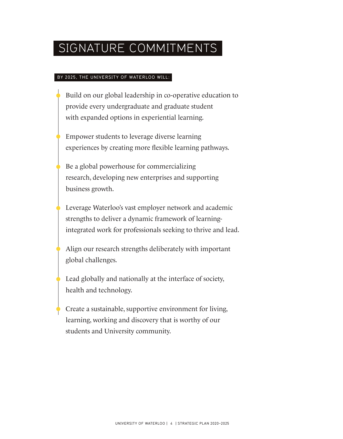### SIGNATURE COMMITMENTS

#### BY 2025, THE UNIVERSITY OF WATERLOO WILL:

- Build on our global leadership in co-operative education to provide every undergraduate and graduate student with expanded options in experiential learning.
- Empower students to leverage diverse learning experiences by creating more flexible learning pathways.
- Be a global powerhouse for commercializing research, developing new enterprises and supporting business growth.
- Leverage Waterloo's vast employer network and academic strengths to deliver a dynamic framework of learningintegrated work for professionals seeking to thrive and lead.
- Align our research strengths deliberately with important global challenges.
- Lead globally and nationally at the interface of society, health and technology.
	- Create a sustainable, supportive environment for living, learning, working and discovery that is worthy of our students and University community.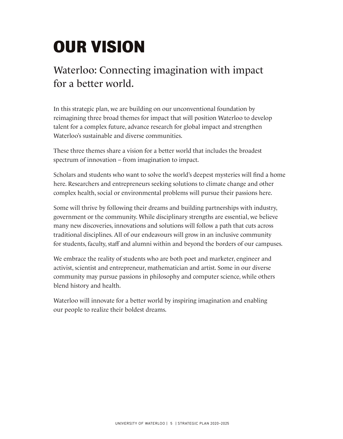# **OUR VISION**

### Waterloo: Connecting imagination with impact for a better world.

In this strategic plan, we are building on our unconventional foundation by reimagining three broad themes for impact that will position Waterloo to develop talent for a complex future, advance research for global impact and strengthen Waterloo's sustainable and diverse communities.

These three themes share a vision for a better world that includes the broadest spectrum of innovation – from imagination to impact.

Scholars and students who want to solve the world's deepest mysteries will find a home here. Researchers and entrepreneurs seeking solutions to climate change and other complex health, social or environmental problems will pursue their passions here.

Some will thrive by following their dreams and building partnerships with industry, government or the community. While disciplinary strengths are essential, we believe many new discoveries, innovations and solutions will follow a path that cuts across traditional disciplines. All of our endeavours will grow in an inclusive community for students, faculty, staff and alumni within and beyond the borders of our campuses.

We embrace the reality of students who are both poet and marketer, engineer and activist, scientist and entrepreneur, mathematician and artist. Some in our diverse community may pursue passions in philosophy and computer science, while others blend history and health.

Waterloo will innovate for a better world by inspiring imagination and enabling our people to realize their boldest dreams.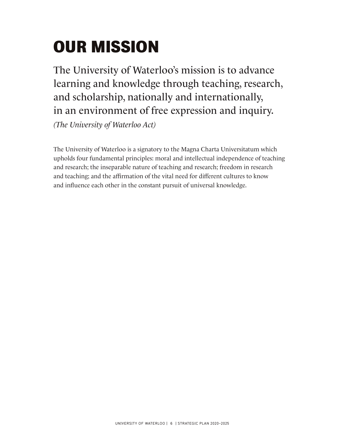# **OUR MISSION**

The University of Waterloo's mission is to advance learning and knowledge through teaching, research, and scholarship, nationally and internationally, in an environment of free expression and inquiry.

(The University of Waterloo Act)

The University of Waterloo is a signatory to the Magna Charta Universitatum which upholds four fundamental principles: moral and intellectual independence of teaching and research; the inseparable nature of teaching and research; freedom in research and teaching; and the affirmation of the vital need for different cultures to know and influence each other in the constant pursuit of universal knowledge.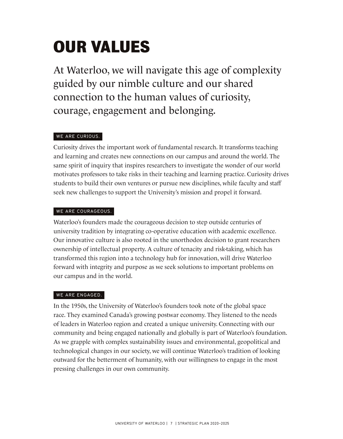# **OUR VALUES**

At Waterloo, we will navigate this age of complexity guided by our nimble culture and our shared connection to the human values of curiosity, courage, engagement and belonging.

#### WE ARE CURIOUS.

Curiosity drives the important work of fundamental research. It transforms teaching and learning and creates new connections on our campus and around the world. The same spirit of inquiry that inspires researchers to investigate the wonder of our world motivates professors to take risks in their teaching and learning practice. Curiosity drives students to build their own ventures or pursue new disciplines, while faculty and staff seek new challenges to support the University's mission and propel it forward.

#### WE ARE COURAGEOUS.

Waterloo's founders made the courageous decision to step outside centuries of university tradition by integrating co-operative education with academic excellence. Our innovative culture is also rooted in the unorthodox decision to grant researchers ownership of intellectual property. A culture of tenacity and risk-taking, which has transformed this region into a technology hub for innovation, will drive Waterloo forward with integrity and purpose as we seek solutions to important problems on our campus and in the world.

#### WE ARE ENGAGED.

In the 1950s, the University of Waterloo's founders took note of the global space race. They examined Canada's growing postwar economy. They listened to the needs of leaders in Waterloo region and created a unique university. Connecting with our community and being engaged nationally and globally is part of Waterloo's foundation. As we grapple with complex sustainability issues and environmental, geopolitical and technological changes in our society, we will continue Waterloo's tradition of looking outward for the betterment of humanity, with our willingness to engage in the most pressing challenges in our own community.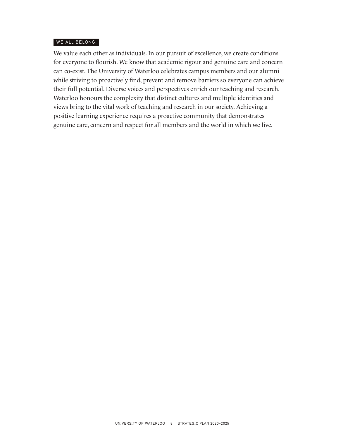#### WE ALL BELONG.

We value each other as individuals. In our pursuit of excellence, we create conditions for everyone to flourish. We know that academic rigour and genuine care and concern can co-exist. The University of Waterloo celebrates campus members and our alumni while striving to proactively find, prevent and remove barriers so everyone can achieve their full potential. Diverse voices and perspectives enrich our teaching and research. Waterloo honours the complexity that distinct cultures and multiple identities and views bring to the vital work of teaching and research in our society. Achieving a positive learning experience requires a proactive community that demonstrates genuine care, concern and respect for all members and the world in which we live.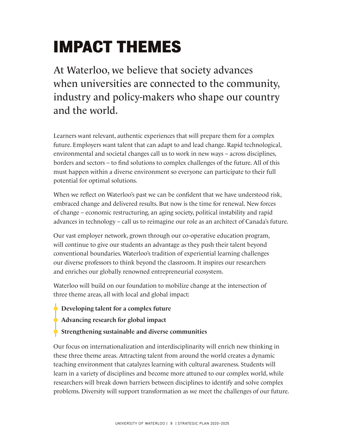# **IMPACT THEMES**

At Waterloo, we believe that society advances when universities are connected to the community, industry and policy-makers who shape our country and the world.

Learners want relevant, authentic experiences that will prepare them for a complex future. Employers want talent that can adapt to and lead change. Rapid technological, environmental and societal changes call us to work in new ways – across disciplines, borders and sectors – to find solutions to complex challenges of the future. All of this must happen within a diverse environment so everyone can participate to their full potential for optimal solutions.

When we reflect on Waterloo's past we can be confident that we have understood risk, embraced change and delivered results. But now is the time for renewal. New forces of change – economic restructuring, an aging society, political instability and rapid advances in technology – call us to reimagine our role as an architect of Canada's future.

Our vast employer network, grown through our co-operative education program, will continue to give our students an advantage as they push their talent beyond conventional boundaries. Waterloo's tradition of experiential learning challenges our diverse professors to think beyond the classroom. It inspires our researchers and enriches our globally renowned entrepreneurial ecosystem.

Waterloo will build on our foundation to mobilize change at the intersection of three theme areas, all with local and global impact:

- $\overrightarrow{D}$  Developing talent for a complex future
- $\overrightarrow{\phantom{a}}$  Advancing research for global impact
- Strengthening sustainable and diverse communities

Our focus on internationalization and interdisciplinarity will enrich new thinking in these three theme areas. Attracting talent from around the world creates a dynamic teaching environment that catalyzes learning with cultural awareness. Students will learn in a variety of disciplines and become more attuned to our complex world, while researchers will break down barriers between disciplines to identify and solve complex problems. Diversity will support transformation as we meet the challenges of our future.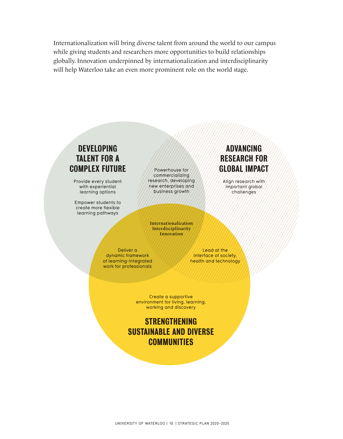Internationalization will bring diverse talent from around the world to our campus while giving students and researchers more opportunities to build relationships globally. Innovation underpinned by internationalization and interdisciplinarity will help Waterloo take an even more prominent role on the world stage.

### DEVELOPING ADVANCING TALENT FOR A RESEARCH FOR **COMPLEX FUTURE All Powerhouse for All ACCOBAL IMPACT**

with experiential methods of the enterprises and input important global learning options  $\frac{1}{2}$  business growth  $\frac{1}{2}$  (challenges) learning options

Empower students to create more flexible learning pathways

//commercializing//<br>research, developing Provide every student  $\frac{p}{p}$  research, developing  $\frac{p}{p}$  ////////////////// important qlobal/

> Internationalization Interdisciplinarity Innovation

dynamic framework interface of society, of learning-integrated health and technology work for professionals

Deliver a Lead at the

Create a supportive environment for living, learning, working and discovery

STRENGTHENING SUSTAINABLE AND DIVERSE **COMMUNITIES**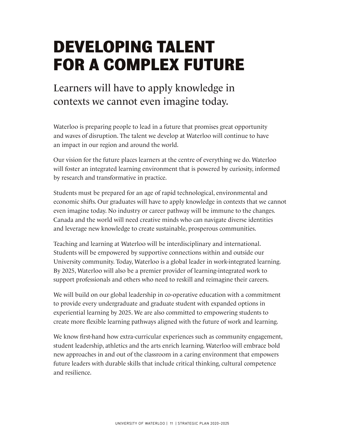## **DEVELOPING TALENT FOR A COMPLEX FUTURE**

### Learners will have to apply knowledge in contexts we cannot even imagine today.

Waterloo is preparing people to lead in a future that promises great opportunity and waves of disruption. The talent we develop at Waterloo will continue to have an impact in our region and around the world.

Our vision for the future places learners at the centre of everything we do. Waterloo will foster an integrated learning environment that is powered by curiosity, informed by research and transformative in practice.

Students must be prepared for an age of rapid technological, environmental and economic shifts. Our graduates will have to apply knowledge in contexts that we cannot even imagine today. No industry or career pathway will be immune to the changes. Canada and the world will need creative minds who can navigate diverse identities and leverage new knowledge to create sustainable, prosperous communities.

Teaching and learning at Waterloo will be interdisciplinary and international. Students will be empowered by supportive connections within and outside our University community. Today, Waterloo is a global leader in work-integrated learning. By 2025, Waterloo will also be a premier provider of learning-integrated work to support professionals and others who need to reskill and reimagine their careers.

We will build on our global leadership in co-operative education with a commitment to provide every undergraduate and graduate student with expanded options in experiential learning by 2025. We are also committed to empowering students to create more flexible learning pathways aligned with the future of work and learning.

We know first-hand how extra-curricular experiences such as community engagement, student leadership, athletics and the arts enrich learning. Waterloo will embrace bold new approaches in and out of the classroom in a caring environment that empowers future leaders with durable skills that include critical thinking, cultural competence and resilience.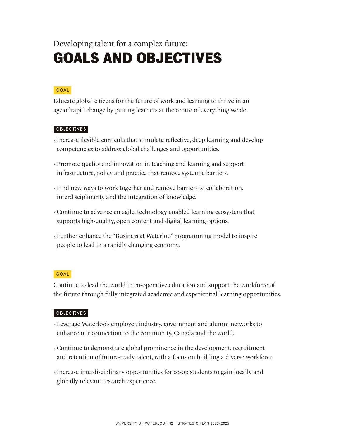### Developing talent for a complex future: **GOALS AND OBJECTIVES**

#### GOAL

Educate global citizens for the future of work and learning to thrive in an age of rapid change by putting learners at the centre of everything we do.

#### OBJECTIVES

- › Increase flexible curricula that stimulate reflective, deep learning and develop competencies to address global challenges and opportunities.
- › Promote quality and innovation in teaching and learning and support infrastructure, policy and practice that remove systemic barriers.
- › Find new ways to work together and remove barriers to collaboration, interdisciplinarity and the integration of knowledge.
- › Continue to advance an agile, technology-enabled learning ecosystem that supports high-quality, open content and digital learning options.
- › Further enhance the "Business at Waterloo" programming model to inspire people to lead in a rapidly changing economy.

#### GOAL

Continue to lead the world in co-operative education and support the workforce of the future through fully integrated academic and experiential learning opportunities.

- › Leverage Waterloo's employer, industry, government and alumni networks to enhance our connection to the community, Canada and the world.
- › Continue to demonstrate global prominence in the development, recruitment and retention of future-ready talent, with a focus on building a diverse workforce.
- › Increase interdisciplinary opportunities for co-op students to gain locally and globally relevant research experience.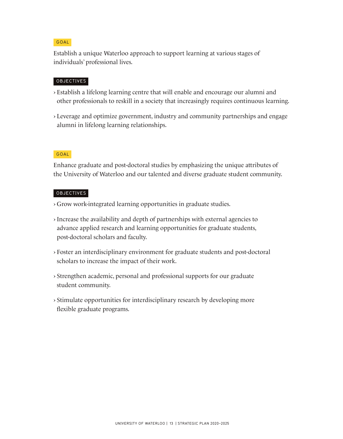#### GOAL

Establish a unique Waterloo approach to support learning at various stages of individuals' professional lives.

#### **OBJECTIVES**

- › Establish a lifelong learning centre that will enable and encourage our alumni and other professionals to reskill in a society that increasingly requires continuous learning.
- › Leverage and optimize government, industry and community partnerships and engage alumni in lifelong learning relationships.

#### GOAL

Enhance graduate and post-doctoral studies by emphasizing the unique attributes of the University of Waterloo and our talented and diverse graduate student community.

- › Grow work-integrated learning opportunities in graduate studies.
- › Increase the availability and depth of partnerships with external agencies to advance applied research and learning opportunities for graduate students, post-doctoral scholars and faculty.
- › Foster an interdisciplinary environment for graduate students and post-doctoral scholars to increase the impact of their work.
- › Strengthen academic, personal and professional supports for our graduate student community.
- › Stimulate opportunities for interdisciplinary research by developing more flexible graduate programs.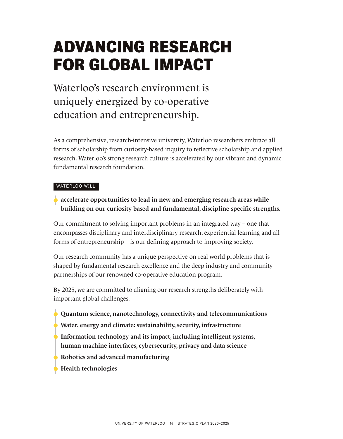# **ADVANCING RESEARCH FOR GLOBAL IMPACT**

Waterloo's research environment is uniquely energized by co-operative education and entrepreneurship.

As a comprehensive, research-intensive university, Waterloo researchers embrace all forms of scholarship from curiosity-based inquiry to reflective scholarship and applied research. Waterloo's strong research culture is accelerated by our vibrant and dynamic fundamental research foundation.

#### WATERLOO WILL:

 $\bullet$  accelerate opportunities to lead in new and emerging research areas while building on our curiosity-based and fundamental, discipline-specific strengths.

Our commitment to solving important problems in an integrated way – one that encompasses disciplinary and interdisciplinary research, experiential learning and all forms of entrepreneurship – is our defining approach to improving society.

Our research community has a unique perspective on real-world problems that is shaped by fundamental research excellence and the deep industry and community partnerships of our renowned co-operative education program.

By 2025, we are committed to aligning our research strengths deliberately with important global challenges:

- $\triangle$  Quantum science, nanotechnology, connectivity and telecommunications
- **Water, energy and climate: sustainability, security, infrastructure**
- Information technology and its impact, including intelligent systems, human-machine interfaces, cybersecurity, privacy and data science
- $\bullet$  Robotics and advanced manufacturing
- Health technologies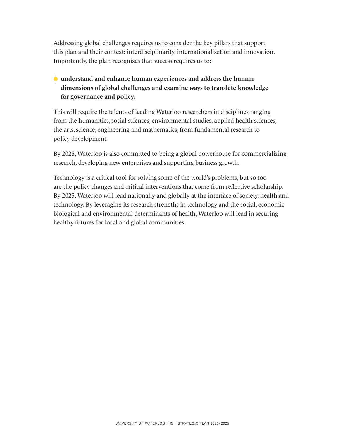Addressing global challenges requires us to consider the key pillars that support this plan and their context: interdisciplinarity, internationalization and innovation. Importantly, the plan recognizes that success requires us to:

#### understand and enhance human experiences and address the human dimensions of global challenges and examine ways to translate knowledge for governance and policy.

This will require the talents of leading Waterloo researchers in disciplines ranging from the humanities, social sciences, environmental studies, applied health sciences, the arts, science, engineering and mathematics, from fundamental research to policy development.

By 2025, Waterloo is also committed to being a global powerhouse for commercializing research, developing new enterprises and supporting business growth.

Technology is a critical tool for solving some of the world's problems, but so too are the policy changes and critical interventions that come from reflective scholarship. By 2025, Waterloo will lead nationally and globally at the interface of society, health and technology. By leveraging its research strengths in technology and the social, economic, biological and environmental determinants of health, Waterloo will lead in securing healthy futures for local and global communities.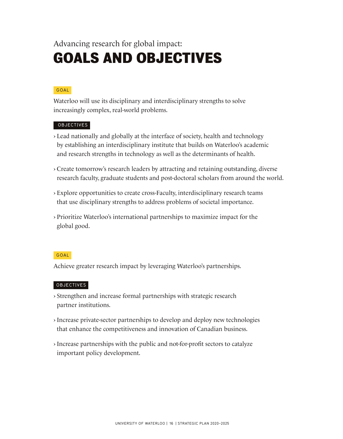#### Advancing research for global impact:

### **GOALS AND OBJECTIVES**

#### GOAL

Waterloo will use its disciplinary and interdisciplinary strengths to solve increasingly complex, real-world problems.

#### OBJECTIVES

- › Lead nationally and globally at the interface of society, health and technology by establishing an interdisciplinary institute that builds on Waterloo's academic and research strengths in technology as well as the determinants of health.
- › Create tomorrow's research leaders by attracting and retaining outstanding, diverse research faculty, graduate students and post-doctoral scholars from around the world.
- › Explore opportunities to create cross-Faculty, interdisciplinary research teams that use disciplinary strengths to address problems of societal importance.
- › Prioritize Waterloo's international partnerships to maximize impact for the global good.

#### GOAL

Achieve greater research impact by leveraging Waterloo's partnerships.

- › Strengthen and increase formal partnerships with strategic research partner institutions.
- › Increase private-sector partnerships to develop and deploy new technologies that enhance the competitiveness and innovation of Canadian business.
- › Increase partnerships with the public and not-for-profit sectors to catalyze important policy development.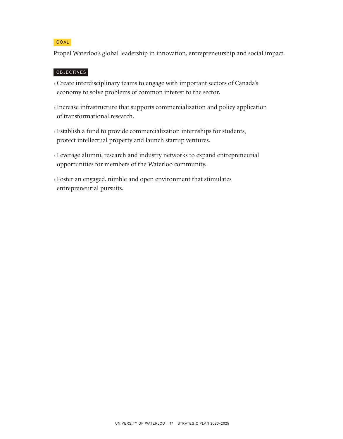#### GOAL

Propel Waterloo's global leadership in innovation, entrepreneurship and social impact.

- › Create interdisciplinary teams to engage with important sectors of Canada's economy to solve problems of common interest to the sector.
- › Increase infrastructure that supports commercialization and policy application of transformational research.
- › Establish a fund to provide commercialization internships for students, protect intellectual property and launch startup ventures.
- › Leverage alumni, research and industry networks to expand entrepreneurial opportunities for members of the Waterloo community.
- › Foster an engaged, nimble and open environment that stimulates entrepreneurial pursuits.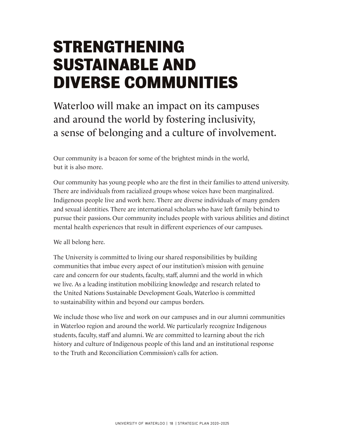# **STRENGTHENING SUSTAINABLE AND DIVERSE COMMUNITIES**

Waterloo will make an impact on its campuses and around the world by fostering inclusivity, a sense of belonging and a culture of involvement.

Our community is a beacon for some of the brightest minds in the world, but it is also more.

Our community has young people who are the first in their families to attend university. There are individuals from racialized groups whose voices have been marginalized. Indigenous people live and work here. There are diverse individuals of many genders and sexual identities. There are international scholars who have left family behind to pursue their passions. Our community includes people with various abilities and distinct mental health experiences that result in different experiences of our campuses.

We all belong here.

The University is committed to living our shared responsibilities by building communities that imbue every aspect of our institution's mission with genuine care and concern for our students, faculty, staff, alumni and the world in which we live. As a leading institution mobilizing knowledge and research related to the United Nations Sustainable Development Goals, Waterloo is committed to sustainability within and beyond our campus borders.

We include those who live and work on our campuses and in our alumni communities in Waterloo region and around the world. We particularly recognize Indigenous students, faculty, staff and alumni. We are committed to learning about the rich history and culture of Indigenous people of this land and an institutional response to the Truth and Reconciliation Commission's calls for action.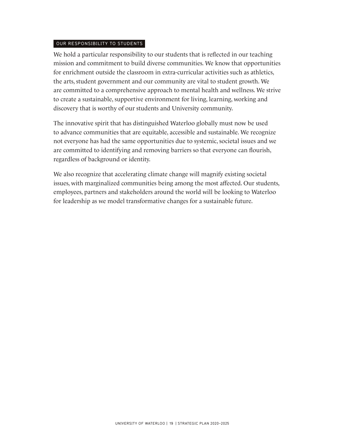#### OUR RESPONSIBILITY TO STUDENTS

We hold a particular responsibility to our students that is reflected in our teaching mission and commitment to build diverse communities. We know that opportunities for enrichment outside the classroom in extra-curricular activities such as athletics, the arts, student government and our community are vital to student growth. We are committed to a comprehensive approach to mental health and wellness. We strive to create a sustainable, supportive environment for living, learning, working and discovery that is worthy of our students and University community.

The innovative spirit that has distinguished Waterloo globally must now be used to advance communities that are equitable, accessible and sustainable. We recognize not everyone has had the same opportunities due to systemic, societal issues and we are committed to identifying and removing barriers so that everyone can flourish, regardless of background or identity.

We also recognize that accelerating climate change will magnify existing societal issues, with marginalized communities being among the most affected. Our students, employees, partners and stakeholders around the world will be looking to Waterloo for leadership as we model transformative changes for a sustainable future.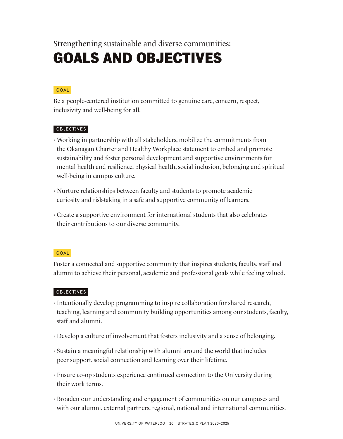Strengthening sustainable and diverse communities:

### **GOALS AND OBJECTIVES**

#### GOAL

Be a people-centered institution committed to genuine care, concern, respect, inclusivity and well-being for all.

#### OBJECTIVES

- › Working in partnership with all stakeholders, mobilize the commitments from the Okanagan Charter and Healthy Workplace statement to embed and promote sustainability and foster personal development and supportive environments for mental health and resilience, physical health, social inclusion, belonging and spiritual well-being in campus culture.
- › Nurture relationships between faculty and students to promote academic curiosity and risk-taking in a safe and supportive community of learners.
- › Create a supportive environment for international students that also celebrates their contributions to our diverse community.

#### GOAL

Foster a connected and supportive community that inspires students, faculty, staff and alumni to achieve their personal, academic and professional goals while feeling valued.

- › Intentionally develop programming to inspire collaboration for shared research, teaching, learning and community building opportunities among our students, faculty, staff and alumni.
- › Develop a culture of involvement that fosters inclusivity and a sense of belonging.
- › Sustain a meaningful relationship with alumni around the world that includes peer support, social connection and learning over their lifetime.
- › Ensure co-op students experience continued connection to the University during their work terms.
- › Broaden our understanding and engagement of communities on our campuses and with our alumni, external partners, regional, national and international communities.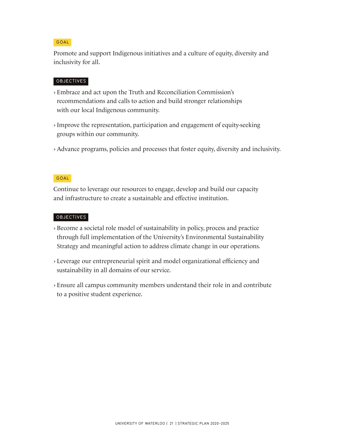#### GOAL

Promote and support Indigenous initiatives and a culture of equity, diversity and inclusivity for all.

#### **OBJECTIVES**

- › Embrace and act upon the Truth and Reconciliation Commission's recommendations and calls to action and build stronger relationships with our local Indigenous community.
- › Improve the representation, participation and engagement of equity-seeking groups within our community.
- › Advance programs, policies and processes that foster equity, diversity and inclusivity.

#### GOAL

Continue to leverage our resources to engage, develop and build our capacity and infrastructure to create a sustainable and effective institution.

- › Become a societal role model of sustainability in policy, process and practice through full implementation of the University's Environmental Sustainability Strategy and meaningful action to address climate change in our operations.
- › Leverage our entrepreneurial spirit and model organizational efficiency and sustainability in all domains of our service.
- › Ensure all campus community members understand their role in and contribute to a positive student experience.